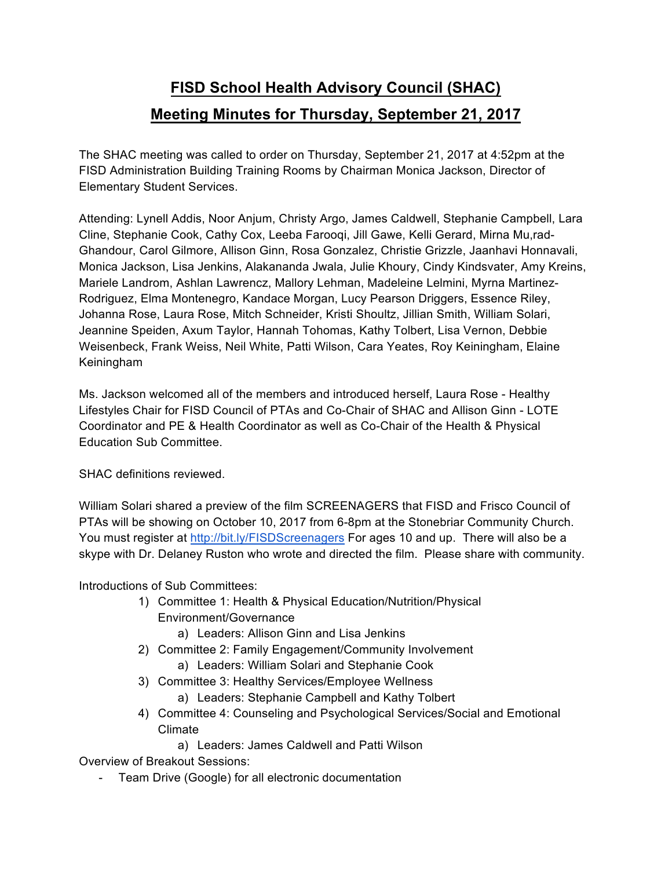## **FISD School Health Advisory Council (SHAC) Meeting Minutes for Thursday, September 21, 2017**

The SHAC meeting was called to order on Thursday, September 21, 2017 at 4:52pm at the FISD Administration Building Training Rooms by Chairman Monica Jackson, Director of Elementary Student Services.

Attending: Lynell Addis, Noor Anjum, Christy Argo, James Caldwell, Stephanie Campbell, Lara Cline, Stephanie Cook, Cathy Cox, Leeba Farooqi, Jill Gawe, Kelli Gerard, Mirna Mu,rad-Ghandour, Carol Gilmore, Allison Ginn, Rosa Gonzalez, Christie Grizzle, Jaanhavi Honnavali, Monica Jackson, Lisa Jenkins, Alakananda Jwala, Julie Khoury, Cindy Kindsvater, Amy Kreins, Mariele Landrom, Ashlan Lawrencz, Mallory Lehman, Madeleine Lelmini, Myrna Martinez-Rodriguez, Elma Montenegro, Kandace Morgan, Lucy Pearson Driggers, Essence Riley, Johanna Rose, Laura Rose, Mitch Schneider, Kristi Shoultz, Jillian Smith, William Solari, Jeannine Speiden, Axum Taylor, Hannah Tohomas, Kathy Tolbert, Lisa Vernon, Debbie Weisenbeck, Frank Weiss, Neil White, Patti Wilson, Cara Yeates, Roy Keiningham, Elaine Keiningham

Ms. Jackson welcomed all of the members and introduced herself, Laura Rose - Healthy Lifestyles Chair for FISD Council of PTAs and Co-Chair of SHAC and Allison Ginn - LOTE Coordinator and PE & Health Coordinator as well as Co-Chair of the Health & Physical Education Sub Committee.

SHAC definitions reviewed.

William Solari shared a preview of the film SCREENAGERS that FISD and Frisco Council of PTAs will be showing on October 10, 2017 from 6-8pm at the Stonebriar Community Church. You must register at http://bit.ly/FISDScreenagers For ages 10 and up. There will also be a skype with Dr. Delaney Ruston who wrote and directed the film. Please share with community.

Introductions of Sub Committees:

- 1) Committee 1: Health & Physical Education/Nutrition/Physical Environment/Governance
	- a) Leaders: Allison Ginn and Lisa Jenkins
- 2) Committee 2: Family Engagement/Community Involvement
	- a) Leaders: William Solari and Stephanie Cook
- 3) Committee 3: Healthy Services/Employee Wellness
	- a) Leaders: Stephanie Campbell and Kathy Tolbert
- 4) Committee 4: Counseling and Psychological Services/Social and Emotional Climate
	- a) Leaders: James Caldwell and Patti Wilson

Overview of Breakout Sessions:

Team Drive (Google) for all electronic documentation